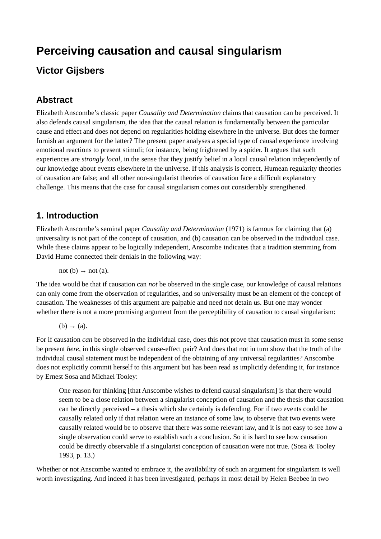# **Perceiving causation and causal singularism**

# **Victor Gijsbers**

# **Abstract**

Elizabeth Anscombe's classic paper *Causality and Determination* claims that causation can be perceived. It also defends causal singularism, the idea that the causal relation is fundamentally between the particular cause and effect and does not depend on regularities holding elsewhere in the universe. But does the former furnish an argument for the latter? The present paper analyses a special type of causal experience involving emotional reactions to present stimuli; for instance, being frightened by a spider. It argues that such experiences are *strongly local,* in the sense that they justify belief in a local causal relation independently of our knowledge about events elsewhere in the universe. If this analysis is correct, Humean regularity theories of causation are false; and all other non-singularist theories of causation face a difficult explanatory challenge. This means that the case for causal singularism comes out considerably strengthened.

#### **1. Introduction**

Elizabeth Anscombe's seminal paper *Causality and Determination* (1971) is famous for claiming that (a) universality is not part of the concept of causation, and (b) causation can be observed in the individual case. While these claims appear to be logically independent, Anscombe indicates that a tradition stemming from David Hume connected their denials in the following way:

 $not (b) \rightarrow not (a).$ 

The idea would be that if causation can *not* be observed in the single case, our knowledge of causal relations can only come from the observation of regularities, and so universality must be an element of the concept of causation. The weaknesses of this argument are palpable and need not detain us. But one may wonder whether there is not a more promising argument from the perceptibility of causation to causal singularism:

 $(b) \rightarrow (a)$ .

For if causation *can* be observed in the individual case, does this not prove that causation must in some sense be present *here*, in this single observed cause-effect pair? And does that not in turn show that the truth of the individual causal statement must be independent of the obtaining of any universal regularities? Anscombe does not explicitly commit herself to this argument but has been read as implicitly defending it, for instance by Ernest Sosa and Michael Tooley:

One reason for thinking [that Anscombe wishes to defend causal singularism] is that there would seem to be a close relation between a singularist conception of causation and the thesis that causation can be directly perceived – a thesis which she certainly is defending. For if two events could be causally related only if that relation were an instance of some law, to observe that two events were causally related would be to observe that there was some relevant law, and it is not easy to see how a single observation could serve to establish such a conclusion. So it is hard to see how causation could be directly observable if a singularist conception of causation were not true. (Sosa & Tooley 1993, p. 13.)

Whether or not Anscombe wanted to embrace it, the availability of such an argument for singularism is well worth investigating. And indeed it has been investigated, perhaps in most detail by Helen Beebee in two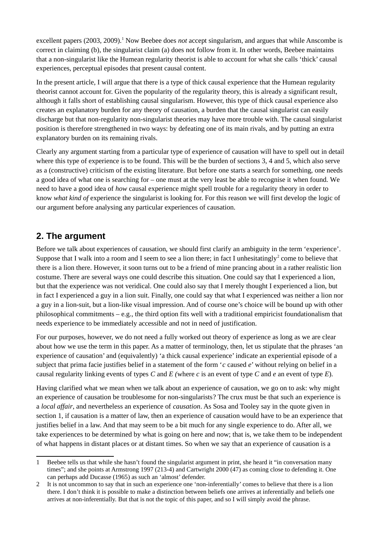excellent papers (2003, 2009).<sup>[1](#page-1-0)</sup> Now Beebee does *not* accept singularism, and argues that while Anscombe is correct in claiming (b), the singularist claim (a) does not follow from it. In other words, Beebee maintains that a non-singularist like the Humean regularity theorist is able to account for what she calls 'thick' causal experiences, perceptual episodes that present causal content.

In the present article, I will argue that there is a type of thick causal experience that the Humean regularity theorist cannot account for. Given the popularity of the regularity theory, this is already a significant result, although it falls short of establishing causal singularism. However, this type of thick causal experience also creates an explanatory burden for any theory of causation, a burden that the causal singularist can easily discharge but that non-regularity non-singularist theories may have more trouble with. The causal singularist position is therefore strengthened in two ways: by defeating one of its main rivals, and by putting an extra explanatory burden on its remaining rivals.

Clearly any argument starting from a particular type of experience of causation will have to spell out in detail where this type of experience is to be found. This will be the burden of sections 3, 4 and 5, which also serve as a (constructive) criticism of the existing literature. But before one starts a search for something, one needs a good idea of what one is searching for – one must at the very least be able to recognise it when found. We need to have a good idea of *how* causal experience might spell trouble for a regularity theory in order to know *what kind of* experience the singularist is looking for. For this reason we will first develop the logic of our argument before analysing any particular experiences of causation.

## **2. The argument**

Before we talk about experiences of causation, we should first clarify an ambiguity in the term 'experience'. Suppose that I walk into a room and I seem to see a lion there; in fact I unhesitatingly<sup>[2](#page-1-1)</sup> come to believe that there is a lion there. However, it soon turns out to be a friend of mine prancing about in a rather realistic lion costume. There are several ways one could describe this situation. One could say that I experienced a lion, but that the experience was not veridical. One could also say that I merely thought I experienced a lion, but in fact I experienced a guy in a lion suit. Finally, one could say that what I experienced was neither a lion nor a guy in a lion-suit, but a lion-like visual impression. And of course one's choice will be bound up with other philosophical commitments – e.g., the third option fits well with a traditional empiricist foundationalism that needs experience to be immediately accessible and not in need of justification.

For our purposes, however, we do not need a fully worked out theory of experience as long as we are clear about how we use the term in this paper. As a matter of terminology, then, let us stipulate that the phrases 'an experience of causation' and (equivalently) 'a thick causal experience' indicate an experiential episode of a subject that prima facie justifies belief in a statement of the form '*c* caused *e*' without relying on belief in a causal regularity linking events of types *C* and *E (*where *c* is an event of type *C* and *e* an event of type *E*).

Having clarified what we mean when we talk about an experience of causation, we go on to ask: why might an experience of causation be troublesome for non-singularists? The crux must be that such an experience is a *local affair*, and nevertheless an experience of *causation*. As Sosa and Tooley say in the quote given in section 1, if causation is a matter of law, then an experience of causation would have to be an experience that justifies belief in a law. And that may seem to be a bit much for any single experience to do. After all, we take experiences to be determined by what is going on here and now; that is, we take them to be independent of what happens in distant places or at distant times. So when we say that an experience of causation is a

<span id="page-1-0"></span><sup>1</sup> Beebee tells us that while she hasn't found the singularist argument in print, she heard it "in conversation many times"; and she points at Armstrong 1997 (213-4) and Cartwright 2000 (47) as coming close to defending it. One can perhaps add Ducasse (1965) as such an 'almost' defender.

<span id="page-1-1"></span><sup>2</sup> It is not uncommon to say that in such an experience one 'non-inferentially' comes to believe that there is a lion there. I don't think it is possible to make a distinction between beliefs one arrives at inferentially and beliefs one arrives at non-inferentially. But that is not the topic of this paper, and so I will simply avoid the phrase.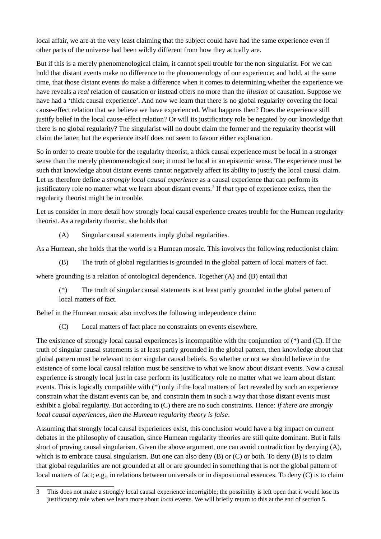local affair, we are at the very least claiming that the subject could have had the same experience even if other parts of the universe had been wildly different from how they actually are.

But if this is a merely phenomenological claim, it cannot spell trouble for the non-singularist. For we can hold that distant events make no difference to the phenomenology of our experience; and hold, at the same time, that those distant events *do* make a difference when it comes to determining whether the experience we have reveals a *real* relation of causation or instead offers no more than the *illusion* of causation. Suppose we have had a 'thick causal experience'. And now we learn that there is no global regularity covering the local cause-effect relation that we believe we have experienced. What happens then? Does the experience still justify belief in the local cause-effect relation? Or will its justificatory role be negated by our knowledge that there is no global regularity? The singularist will no doubt claim the former and the regularity theorist will claim the latter, but the experience itself does not seem to favour either explanation.

So in order to create trouble for the regularity theorist, a thick causal experience must be local in a stronger sense than the merely phenomenological one; it must be local in an epistemic sense. The experience must be such that knowledge about distant events cannot negatively affect its ability to justify the local causal claim. Let us therefore define a *strongly local causal experience* as a causal experience that can perform its justificatory role no matter what we learn about distant events.<sup>[3](#page-2-0)</sup> If *that* type of experience exists, then the regularity theorist might be in trouble.

Let us consider in more detail how strongly local causal experience creates trouble for the Humean regularity theorist. As a regularity theorist, she holds that

(A) Singular causal statements imply global regularities.

As a Humean, she holds that the world is a Humean mosaic. This involves the following reductionist claim:

(B) The truth of global regularities is grounded in the global pattern of local matters of fact.

where grounding is a relation of ontological dependence. Together (A) and (B) entail that

(\*) The truth of singular causal statements is at least partly grounded in the global pattern of local matters of fact.

Belief in the Humean mosaic also involves the following independence claim:

(C) Local matters of fact place no constraints on events elsewhere.

The existence of strongly local causal experiences is incompatible with the conjunction of (\*) and (C). If the truth of singular causal statements is at least partly grounded in the global pattern, then knowledge about that global pattern must be relevant to our singular causal beliefs. So whether or not we should believe in the existence of some local causal relation must be sensitive to what we know about distant events. Now a causal experience is strongly local just in case perform its justificatory role no matter what we learn about distant events. This is logically compatible with (\*) only if the local matters of fact revealed by such an experience constrain what the distant events can be, and constrain them in such a way that those distant events must exhibit a global regularity. But according to (C) there are no such constraints. Hence: *if there are strongly local causal experiences, then the Humean regularity theory is false*.

Assuming that strongly local causal experiences exist, this conclusion would have a big impact on current debates in the philosophy of causation, since Humean regularity theories are still quite dominant. But it falls short of proving causal singularism. Given the above argument, one can avoid contradiction by denying (A), which is to embrace causal singularism. But one can also deny (B) or (C) or both. To deny (B) is to claim that global regularities are not grounded at all or are grounded in something that is not the global pattern of local matters of fact; e.g., in relations between universals or in dispositional essences. To deny (C) is to claim

<span id="page-2-0"></span><sup>3</sup> This does not make a strongly local causal experience incorrigible; the possibility is left open that it would lose its justificatory role when we learn more about *local* events. We will briefly return to this at the end of section 5.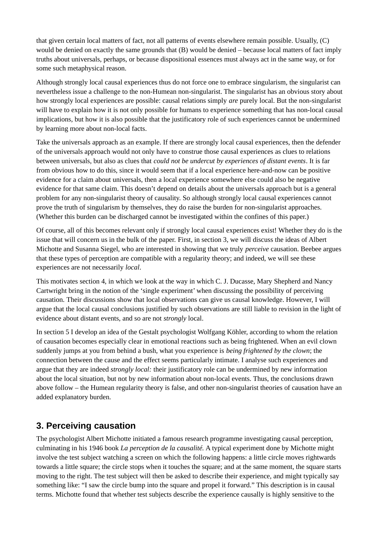that given certain local matters of fact, not all patterns of events elsewhere remain possible. Usually, (C) would be denied on exactly the same grounds that (B) would be denied – because local matters of fact imply truths about universals, perhaps, or because dispositional essences must always act in the same way, or for some such metaphysical reason.

Although strongly local causal experiences thus do not force one to embrace singularism, the singularist can nevertheless issue a challenge to the non-Humean non-singularist. The singularist has an obvious story about how strongly local experiences are possible: causal relations simply *are* purely local. But the non-singularist will have to explain how it is not only possible for humans to experience something that has non-local causal implications, but how it is also possible that the justificatory role of such experiences cannot be undermined by learning more about non-local facts.

Take the universals approach as an example. If there are strongly local causal experiences, then the defender of the universals approach would not only have to construe those causal experiences as clues to relations between universals, but also as clues that *could not be undercut by experiences of distant events*. It is far from obvious how to do this, since it would seem that if a local experience here-and-now can be positive evidence for a claim about universals, then a local experience somewhere else could also be negative evidence for that same claim. This doesn't depend on details about the universals approach but is a general problem for any non-singularist theory of causality. So although strongly local causal experiences cannot prove the truth of singularism by themselves, they do raise the burden for non-singularist approaches. (Whether this burden can be discharged cannot be investigated within the confines of this paper.)

Of course, all of this becomes relevant only if strongly local causal experiences exist! Whether they do is the issue that will concern us in the bulk of the paper. First, in section 3, we will discuss the ideas of Albert Michotte and Susanna Siegel, who are interested in showing that we truly *perceive* causation. Beebee argues that these types of perception are compatible with a regularity theory; and indeed, we will see these experiences are not necessarily *local*.

This motivates section 4, in which we look at the way in which C. J. Ducasse, Mary Shepherd and Nancy Cartwright bring in the notion of the 'single experiment' when discussing the possibility of perceiving causation. Their discussions show that local observations can give us causal knowledge. However, I will argue that the local causal conclusions justified by such observations are still liable to revision in the light of evidence about distant events, and so are not *strongly* local.

In section 5 I develop an idea of the Gestalt psychologist Wolfgang Köhler, according to whom the relation of causation becomes especially clear in emotional reactions such as being frightened. When an evil clown suddenly jumps at you from behind a bush, what you experience is *being frightened by the clown*; the connection between the cause and the effect seems particularly intimate. I analyse such experiences and argue that they are indeed *strongly local:* their justificatory role can be undermined by new information about the local situation, but not by new information about non-local events. Thus, the conclusions drawn above follow – the Humean regularity theory is false, and other non-singularist theories of causation have an added explanatory burden.

#### **3. Perceiving causation**

The psychologist Albert Michotte initiated a famous research programme investigating causal perception, culminating in his 1946 book *La perception de la causalité.* A typical experiment done by Michotte might involve the test subject watching a screen on which the following happens: a little circle moves rightwards towards a little square; the circle stops when it touches the square; and at the same moment, the square starts moving to the right. The test subject will then be asked to describe their experience, and might typically say something like: "I saw the circle bump into the square and propel it forward." This description is in causal terms. Michotte found that whether test subjects describe the experience causally is highly sensitive to the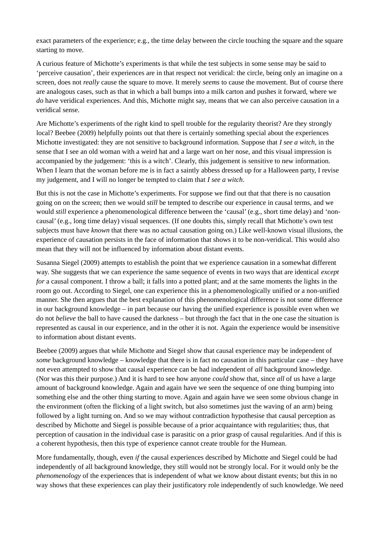exact parameters of the experience; e.g., the time delay between the circle touching the square and the square starting to move.

A curious feature of Michotte's experiments is that while the test subjects in some sense may be said to 'perceive causation', their experiences are in that respect not veridical: the circle, being only an imagine on a screen, does not *really* cause the square to move. It merely *seems* to cause the movement. But of course there are analogous cases, such as that in which a ball bumps into a milk carton and pushes it forward, where we *do* have veridical experiences. And this, Michotte might say, means that we can also perceive causation in a veridical sense.

Are Michotte's experiments of the right kind to spell trouble for the regularity theorist? Are they strongly local? Beebee (2009) helpfully points out that there is certainly something special about the experiences Michotte investigated: they are not sensitive to background information. Suppose that *I see a witch*, in the sense that I see an old woman with a weird hat and a large wart on her nose, and this visual impression is accompanied by the judgement: 'this is a witch'. Clearly, this judgement is sensitive to new information. When I learn that the woman before me is in fact a saintly abbess dressed up for a Halloween party, I revise my judgement, and I will no longer be tempted to claim that *I see a witch*.

But this is not the case in Michotte's experiments. For suppose we find out that that there is no causation going on on the screen; then we would *still* be tempted to describe our experience in causal terms, and we would *still* experience a phenomenological difference between the 'causal' (e.g., short time delay) and 'noncausal' (e.g., long time delay) visual sequences. (If one doubts this, simply recall that Michotte's own test subjects must have *known* that there was no actual causation going on.) Like well-known visual illusions, the experience of causation persists in the face of information that shows it to be non-veridical. This would also mean that they will not be influenced by information about distant events.

Susanna Siegel (2009) attempts to establish the point that we experience causation in a somewhat different way. She suggests that we can experience the same sequence of events in two ways that are identical *except for* a causal component. I throw a ball; it falls into a potted plant; and at the same moments the lights in the room go out. According to Siegel, one can experience this in a phenomenologically unified or a non-unified manner. She then argues that the best explanation of this phenomenological difference is not some difference in our background knowledge – in part because our having the unified experience is possible even when we do not *believe* the ball to have caused the darkness – but through the fact that in the one case the situation is represented as causal in our experience, and in the other it is not. Again the experience would be insensitive to information about distant events.

Beebee (2009) argues that while Michotte and Siegel show that causal experience may be independent of *some* background knowledge – knowledge that there is in fact no causation in this particular case – they have not even attempted to show that causal experience can be had independent of *all* background knowledge. (Nor was this their purpose.) And it is hard to see how anyone *could* show that, since *all* of us have a large amount of background knowledge. Again and again have we seen the sequence of one thing bumping into something else and the other thing starting to move. Again and again have we seen some obvious change in the environment (often the flicking of a light switch, but also sometimes just the waving of an arm) being followed by a light turning on. And so we may without contradiction hypothesise that causal perception as described by Michotte and Siegel is possible because of a prior acquaintance with regularities; thus, that perception of causation in the individual case is parasitic on a prior grasp of causal regularities. And if this is a coherent hypothesis, then this type of experience cannot create trouble for the Humean.

More fundamentally, though, even *if* the causal experiences described by Michotte and Siegel could be had independently of all background knowledge, they still would not be strongly local. For it would only be the *phenomenology* of the experiences that is independent of what we know about distant events; but this in no way shows that these experiences can play their justificatory role independently of such knowledge. We need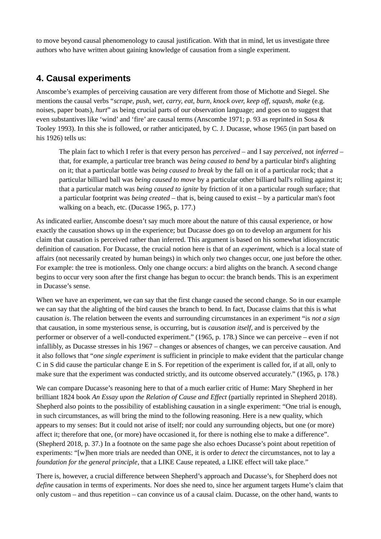to move beyond causal phenomenology to causal justification. With that in mind, let us investigate three authors who have written about gaining knowledge of causation from a single experiment.

#### **4. Causal experiments**

Anscombe's examples of perceiving causation are very different from those of Michotte and Siegel. She mentions the causal verbs "*scrape, push, wet, carry, eat, burn, knock over, keep off, squash, make* (e.g. noises, paper boats), *hurt*" as being crucial parts of our observation language; and goes on to suggest that even substantives like 'wind' and 'fire' are causal terms (Anscombe 1971; p. 93 as reprinted in Sosa & Tooley 1993). In this she is followed, or rather anticipated, by C. J. Ducasse, whose 1965 (in part based on his 1926) tells us:

The plain fact to which I refer is that every person has *perceived* – and I say *perceived*, not *inferred* – that, for example, a particular tree branch was *being caused to bend* by a particular bird's alighting on it; that a particular bottle was *being caused to break* by the fall on it of a particular rock; that a particular billiard ball was *being caused to move* by a particular other billiard ball's rolling against it; that a particular match was *being caused to ignite* by friction of it on a particular rough surface; that a particular footprint was *being created* – that is, being caused to exist – by a particular man's foot walking on a beach, etc. (Ducasse 1965, p. 177.)

As indicated earlier, Anscombe doesn't say much more about the nature of this causal experience, or how exactly the causation shows up in the experience; but Ducasse does go on to develop an argument for his claim that causation is perceived rather than inferred. This argument is based on his somewhat idiosyncratic definition of causation. For Ducasse, the crucial notion here is that of an *experiment,* which is a local state of affairs (not necessarily created by human beings) in which only two changes occur, one just before the other. For example: the tree is motionless. Only one change occurs: a bird alights on the branch. A second change begins to occur very soon after the first change has begun to occur: the branch bends. This is an experiment in Ducasse's sense.

When we have an experiment, we can say that the first change caused the second change. So in our example we can say that the alighting of the bird causes the branch to bend. In fact, Ducasse claims that this is what causation *is*. The relation between the events and surrounding circumstances in an experiment "is *not a sign* that causation, in some mysterious sense, is occurring, but is *causation itself*, and is perceived by the performer or observer of a well-conducted experiment." (1965, p. 178.) Since we can perceive – even if not infallibly, as Ducasse stresses in his 1967 – changes or absences of changes, we can perceive causation. And it also follows that "*one single experiment* is sufficient in principle to make evident that the particular change C in S did cause the particular change E in S. For repetition of the experiment is called for, if at all, only to make sure that the experiment was conducted strictly, and its outcome observed accurately." (1965, p. 178.)

We can compare Ducasse's reasoning here to that of a much earlier critic of Hume: Mary Shepherd in her brilliant 1824 book *An Essay upon the Relation of Cause and Effect* (partially reprinted in Shepherd 2018). Shepherd also points to the possibility of establishing causation in a single experiment: "One trial is enough, in such circumstances, as will bring the mind to the following reasoning. Here is a new quality, which appears to my senses: But it could not arise of itself; nor could any surrounding objects, but one (or more) affect it; therefore that one, (or more) have occasioned it, for there is nothing else to make a difference". (Shepherd 2018, p. 37.) In a footnote on the same page she also echoes Ducasse's point about repetition of experiments: "[w]hen more trials are needed than ONE, it is order to *detect* the circumstances, not to lay a *foundation for the general principle*, that a LIKE Cause repeated, a LIKE effect will take place."

There is, however, a crucial difference between Shepherd's approach and Ducasse's, for Shepherd does not *define* causation in terms of experiments. Nor does she need to, since her argument targets Hume's claim that only custom – and thus repetition – can convince us of a causal claim. Ducasse, on the other hand, wants to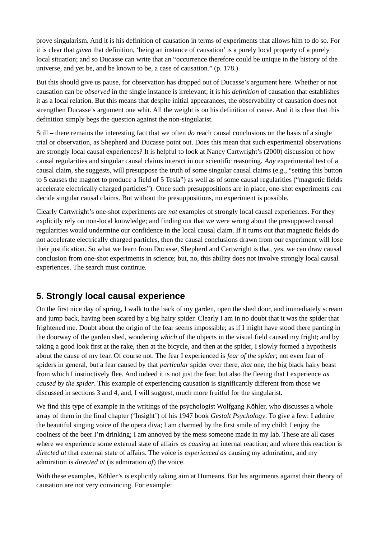prove singularism. And it is his definition of causation in terms of experiments that allows him to do so. For it is clear that *given* that definition, 'being an instance of causation' is a purely local property of a purely local situation; and so Ducasse can write that an "occurrence therefore could be unique in the history of the universe, and yet be, and be known to be, a case of causation." (p. 178.)

But this should give us pause, for observation has dropped out of Ducasse's argument here. Whether or not causation can be *observed* in the single instance is irrelevant; it is his *definition* of causation that establishes it as a local relation. But this means that despite initial appearances, the observability of causation does not strengthen Ducasse's argument one whit. All the weight is on his definition of cause. And it is clear that this definition simply begs the question against the non-singularist.

Still – there remains the interesting fact that we often *do* reach causal conclusions on the basis of a single trial or observation, as Shepherd and Ducasse point out. Does this mean that such experimental observations are strongly local causal experiences? It is helpful to look at Nancy Cartwright's (2000) discussion of how causal regularities and singular causal claims interact in our scientific reasoning. *Any* experimental test of a causal claim, she suggests, will presuppose the truth of some singular causal claims (e.g., "setting this button to 5 causes the magnet to produce a field of 5 Tesla") as well as of some causal regularities ("magnetic fields accelerate electrically charged particles"). Once such presuppositions are in place, one-shot experiments *can* decide singular causal claims. But without the presuppositions, no experiment is possible.

Clearly Cartwright's one-shot experiments are *not* examples of strongly local causal experiences. For they explicitly rely on non-local knowledge; and finding out that we were wrong about the presupposed causal regularities would undermine our confidence in the local causal claim. If it turns out that magnetic fields do not accelerate electrically charged particles, then the causal conclusions drawn from our experiment will lose their justification. So what we learn from Ducasse, Shepherd and Cartwright is that, yes, we can draw causal conclusion from one-shot experiments in science; but, no, this ability does not involve strongly local causal experiences. The search must continue.

## **5. Strongly local causal experience**

On the first nice day of spring, I walk to the back of my garden, open the shed door, and immediately scream and jump back, having been scared by a big hairy spider. Clearly I am in no doubt that it was the spider that frightened me. Doubt about the origin of the fear seems impossible; as if I might have stood there panting in the doorway of the garden shed, wondering *which* of the objects in the visual field caused my fright; and by taking a good look first at the rake, then at the bicycle, and then at the spider, I slowly formed a hypothesis about the cause of my fear. Of course not. The fear I experienced is *fear of the spider*; not even fear of spiders in general, but a fear caused by that *particular* spider over there, *that* one, the big black hairy beast from which I instinctively flee. And indeed it is not just the fear, but also the fleeing that I experience *as caused by the spider*. This example of experiencing causation is significantly different from those we discussed in sections 3 and 4, and, I will suggest, much more fruitful for the singularist.

We find this type of example in the writings of the psychologist Wolfgang Köhler, who discusses a whole array of them in the final chapter ('Insight') of his 1947 book *Gestalt Psychology*. To give a few: I admire the beautiful singing voice of the opera diva; I am charmed by the first smile of my child; I enjoy the coolness of the beer I'm drinking; I am annoyed by the mess someone made in my lab. These are all cases where we experience some external state of affairs *as causing* an internal reaction; and where this reaction is *directed at* that external state of affairs. The voice is *experienced as* causing my admiration, and my admiration is *directed at* (is admiration *of*) the voice.

With these examples, Köhler's is explicitly taking aim at Humeans. But his arguments against their theory of causation are not very convincing. For example: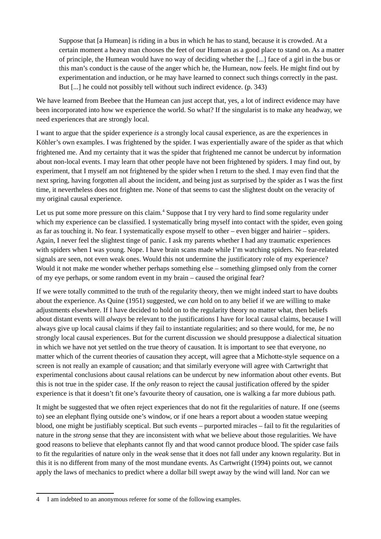Suppose that [a Humean] is riding in a bus in which he has to stand, because it is crowded. At a certain moment a heavy man chooses the feet of our Humean as a good place to stand on. As a matter of principle, the Humean would have no way of deciding whether the [...] face of a girl in the bus or this man's conduct is the cause of the anger which he, the Humean, now feels. He might find out by experimentation and induction, or he may have learned to connect such things correctly in the past. But [...] he could not possibly tell without such indirect evidence. (p. 343)

We have learned from Beebee that the Humean can just accept that, yes, a lot of indirect evidence may have been incorporated into how we experience the world. So what? If the singularist is to make any headway, we need experiences that are strongly local.

I want to argue that the spider experience *is* a strongly local causal experience, as are the experiences in Köhler's own examples. I was frightened by the spider. I was experientially aware of the spider as that which frightened me. And my certainty that it was the spider that frightened me cannot be undercut by information about non-local events. I may learn that other people have not been frightened by spiders. I may find out, by experiment, that I myself am not frightened by the spider when I return to the shed. I may even find that the next spring, having forgotten all about the incident, and being just as surprised by the spider as I was the first time, it nevertheless does not frighten me. None of that seems to cast the slightest doubt on the veracity of my original causal experience.

Let us put some more pressure on this claim.<sup>[4](#page-7-0)</sup> Suppose that I try very hard to find some regularity under which my experience can be classified. I systematically bring myself into contact with the spider, even going as far as touching it. No fear. I systematically expose myself to other – even bigger and hairier – spiders. Again, I never feel the slightest tinge of panic. I ask my parents whether I had any traumatic experiences with spiders when I was young. Nope. I have brain scans made while I'm watching spiders. No fear-related signals are seen, not even weak ones. Would this not undermine the justificatory role of my experience? Would it not make me wonder whether perhaps something else – something glimpsed only from the corner of my eye perhaps, or some random event in my brain – caused the original fear?

If we were totally committed to the truth of the regularity theory, then we might indeed start to have doubts about the experience. As Quine (1951) suggested, we *can* hold on to any belief if we are willing to make adjustments elsewhere. If I have decided to hold on to the regularity theory no matter what, then beliefs about distant events will *always* be relevant to the justifications I have for local causal claims, because I will always give up local causal claims if they fail to instantiate regularities; and so there would, for me, *be* no strongly local causal experiences. But for the current discussion we should presuppose a dialectical situation in which we have not yet settled on the true theory of causation. It is important to see that everyone, no matter which of the current theories of causation they accept, will agree that a Michotte-style sequence on a screen is not really an example of causation; and that similarly everyone will agree with Cartwright that experimental conclusions about causal relations can be undercut by new information about other events. But this is not true in the spider case. If the *only* reason to reject the causal justification offered by the spider experience is that it doesn't fit one's favourite theory of causation, one is walking a far more dubious path.

It might be suggested that we often reject experiences that do not fit the regularities of nature. If one (seems to) see an elephant flying outside one's window, or if one hears a report about a wooden statue weeping blood, one might be justifiably sceptical. But such events – purported miracles – fail to fit the regularities of nature in the *strong* sense that they are inconsistent with what we believe about those regularities. We have good reasons to believe that elephants cannot fly and that wood cannot produce blood. The spider case fails to fit the regularities of nature only in the *weak* sense that it does not fall under any known regularity. But in this it is no different from many of the most mundane events. As Cartwright (1994) points out, we cannot apply the laws of mechanics to predict where a dollar bill swept away by the wind will land. Nor can we

<span id="page-7-0"></span><sup>4</sup> I am indebted to an anonymous referee for some of the following examples.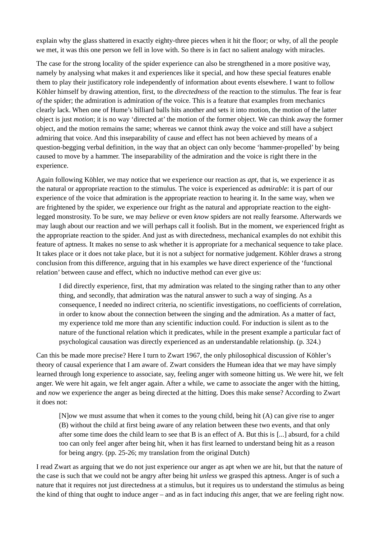explain why the glass shattered in exactly eighty-three pieces when it hit the floor; or why, of all the people we met, it was this one person we fell in love with. So there is in fact no salient analogy with miracles.

The case for the strong locality of the spider experience can also be strengthened in a more positive way, namely by analysing what makes it and experiences like it special, and how these special features enable them to play their justificatory role independently of information about events elsewhere. I want to follow Köhler himself by drawing attention, first, to the *directedness* of the reaction to the stimulus. The fear is fear *of* the spider; the admiration is admiration *of* the voice. This is a feature that examples from mechanics clearly lack. When one of Hume's billiard balls hits another and sets it into motion, the motion of the latter object is just *motion*; it is no way 'directed at' the motion of the former object. We can think away the former object, and the motion remains the same; whereas we cannot think away the voice and still have a subject admiring that voice. And this inseparability of cause and effect has not been achieved by means of a question-begging verbal definition, in the way that an object can only become 'hammer-propelled' by being caused to move by a hammer. The inseparability of the admiration and the voice is right there in the experience.

Again following Köhler, we may notice that we experience our reaction as *apt*, that is, we experience it as the natural or appropriate reaction to the stimulus. The voice is experienced as *admirable*: it is part of our experience of the voice that admiration is the appropriate reaction to hearing it. In the same way, when we are frightened by the spider, we experience our fright as the natural and appropriate reaction to the eightlegged monstrosity. To be sure, we may *believe* or even *know* spiders are not really fearsome. Afterwards we may laugh about our reaction and we will perhaps call it foolish. But in the moment, we experienced fright as the appropriate reaction to the spider. And just as with directedness, mechanical examples do not exhibit this feature of aptness. It makes no sense to ask whether it is appropriate for a mechanical sequence to take place. It takes place or it does not take place, but it is not a subject for normative judgement. Köhler draws a strong conclusion from this difference, arguing that in his examples we have direct experience of the 'functional relation' between cause and effect, which no inductive method can ever give us:

I did directly experience, first, that my admiration was related to the singing rather than to any other thing, and secondly, that admiration was the natural answer to such a way of singing. As a consequence, I needed no indirect criteria, no scientific investigations, no coefficients of correlation, in order to know about the connection between the singing and the admiration. As a matter of fact, my experience told me more than any scientific induction could. For induction is silent as to the nature of the functional relation which it predicates, while in the present example a particular fact of psychological causation was directly experienced as an understandable relationship. (p. 324.)

Can this be made more precise? Here I turn to Zwart 1967, the only philosophical discussion of Köhler's theory of causal experience that I am aware of. Zwart considers the Humean idea that we may have simply learned through long experience to associate, say, feeling anger with someone hitting us. We were hit, we felt anger. We were hit again, we felt anger again. After a while, we came to associate the anger with the hitting, and *now* we experience the anger as being directed at the hitting. Does this make sense? According to Zwart it does not:

[N]ow we must assume that when it comes to the young child, being hit (A) can give rise to anger (B) without the child at first being aware of any relation between these two events, and that only after some time does the child learn to see that B is an effect of A. But this is [...] absurd, for a child too can only feel anger after being hit, when it has first learned to understand being hit as a reason for being angry. (pp. 25-26; my translation from the original Dutch)

I read Zwart as arguing that we do not just experience our anger as apt when we are hit, but that the nature of the case is such that we could not be angry after being hit *unless* we grasped this aptness. Anger is of such a nature that it requires not just directedness at a stimulus, but it requires us to understand the stimulus as being the kind of thing that ought to induce anger – and as in fact inducing *this* anger, that we are feeling right now.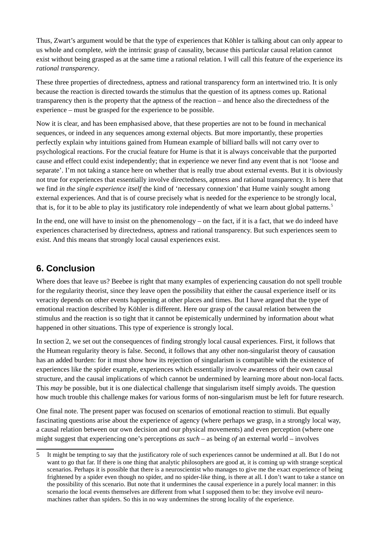Thus, Zwart's argument would be that the type of experiences that Köhler is talking about can only appear to us whole and complete, *with* the intrinsic grasp of causality, because this particular causal relation cannot exist without being grasped as at the same time a rational relation. I will call this feature of the experience its *rational transparency*.

These three properties of directedness, aptness and rational transparency form an intertwined trio. It is only because the reaction is directed towards the stimulus that the question of its aptness comes up. Rational transparency then is the property that the aptness of the reaction – and hence also the directedness of the experience – must be grasped for the experience to be possible.

Now it is clear, and has been emphasised above, that these properties are not to be found in mechanical sequences, or indeed in any sequences among external objects. But more importantly, these properties perfectly explain why intuitions gained from Humean example of billiard balls will not carry over to psychological reactions. For the crucial feature for Hume is that it is always conceivable that the purported cause and effect could exist independently; that in experience we never find any event that is not 'loose and separate'. I'm not taking a stance here on whether that is really true about external events. But it is obviously not true for experiences that essentially involve directedness, aptness and rational transparency. It is here that we find *in the single experience itself* the kind of 'necessary connexion' that Hume vainly sought among external experiences. And that is of course precisely what is needed for the experience to be strongly local, that is, for it to be able to play its justificatory role independently of what we learn about global patterns.<sup>[5](#page-9-0)</sup>

In the end, one will have to insist on the phenomenology – on the fact, if it is a fact, that we do indeed have experiences characterised by directedness, aptness and rational transparency. But such experiences seem to exist. And this means that strongly local causal experiences exist.

#### **6. Conclusion**

Where does that leave us? Beebee is right that many examples of experiencing causation do not spell trouble for the regularity theorist, since they leave open the possibility that either the causal experience itself or its veracity depends on other events happening at other places and times. But I have argued that the type of emotional reaction described by Köhler is different. Here our grasp of the causal relation between the stimulus and the reaction is so tight that it cannot be epistemically undermined by information about what happened in other situations. This type of experience is strongly local.

In section 2, we set out the consequences of finding strongly local causal experiences. First, it follows that the Humean regularity theory is false. Second, it follows that any other non-singularist theory of causation has an added burden: for it must show how its rejection of singularism is compatible with the existence of experiences like the spider example, experiences which essentially involve awareness of their own causal structure, and the causal implications of which cannot be undermined by learning more about non-local facts. This *may* be possible, but it is one dialectical challenge that singularism itself simply avoids. The question how much trouble this challenge makes for various forms of non-singularism must be left for future research.

One final note. The present paper was focused on scenarios of emotional reaction to stimuli. But equally fascinating questions arise about the experience of agency (where perhaps we grasp, in a strongly local way, a causal relation between our own decision and our physical movements) and even perception (where one might suggest that experiencing one's perceptions *as such* – as being *of* an external world – involves

<span id="page-9-0"></span><sup>5</sup> It might be tempting to say that the justificatory role of such experiences cannot be undermined at all. But I do not want to go that far. If there is one thing that analytic philosophers are good at, it is coming up with strange sceptical scenarios. Perhaps it is possible that there is a neuroscientist who manages to give me the exact experience of being frightened by a spider even though no spider, and no spider-like thing, is there at all. I don't want to take a stance on the possibility of this scenario. But note that it undermines the causal experience in a purely local manner: in this scenario the local events themselves are different from what I supposed them to be: they involve evil neuromachines rather than spiders. So this in no way undermines the strong locality of the experience.